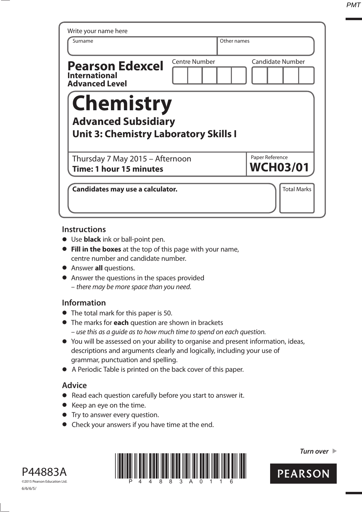*PMT*

| Write your name here<br>Surname                                                                |                      | Other names                        |
|------------------------------------------------------------------------------------------------|----------------------|------------------------------------|
| <b>Pearson Edexcel</b><br><b>International</b><br><b>Advanced Level</b>                        | <b>Centre Number</b> | <b>Candidate Number</b>            |
| <b>Chemistry</b><br><b>Advanced Subsidiary</b><br><b>Unit 3: Chemistry Laboratory Skills I</b> |                      |                                    |
| Thursday 7 May 2015 - Afternoon<br>Time: 1 hour 15 minutes                                     |                      | Paper Reference<br><b>WCH03/01</b> |
| Candidates may use a calculator.                                                               |                      | <b>Total Marks</b>                 |

### **Instructions**

- **•** Use **black** ink or ball-point pen.
- **Fill in the boxes** at the top of this page with your name, centre number and candidate number.
- **•** Answer **all** questions.
- **•** Answer the questions in the spaces provided – there may be more space than you need.

### **Information**

- **•** The total mark for this paper is 50.
- **t** The marks for **each** question are shown in brackets – use this as a guide as to how much time to spend on each question.
- **t** You will be assessed on your ability to organise and present information, ideas, descriptions and arguments clearly and logically, including your use of grammar, punctuation and spelling.
- **t** A Periodic Table is printed on the back cover of this paper.

## **Advice**

- **t** Read each question carefully before you start to answer it.
- **•** Keep an eye on the time.
- **•** Try to answer every question.
- **•** Check your answers if you have time at the end.



*Turn over* 

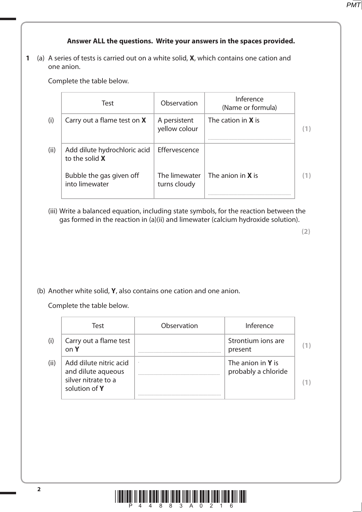# **Answer ALL the questions. Write your answers in the spaces provided.**

**1** (a) A series of tests is carried out on a white solid, **X**, which contains one cation and one anion.

Complete the table below.

|      | Test                                             | Observation                   | Inference<br>(Name or formula) |  |
|------|--------------------------------------------------|-------------------------------|--------------------------------|--|
| (i)  | Carry out a flame test on X                      | A persistent<br>yellow colour | The cation in $X$ is           |  |
| (ii) | Add dilute hydrochloric acid<br>to the solid $X$ | Effervescence                 |                                |  |
|      | Bubble the gas given off<br>into limewater       | The limewater<br>turns cloudy | The anion in $X$ is            |  |

 (iii) Write a balanced equation, including state symbols, for the reaction between the gas formed in the reaction in (a)(ii) and limewater (calcium hydroxide solution).

**(2)**

(b) Another white solid, **Y**, also contains one cation and one anion.

Complete the table below.

|      | Test                                                                                 | Observation | Inference                                  |  |
|------|--------------------------------------------------------------------------------------|-------------|--------------------------------------------|--|
| (i)  | Carry out a flame test<br>on Y                                                       |             | Strontium ions are<br>present              |  |
| (ii) | Add dilute nitric acid<br>and dilute aqueous<br>silver nitrate to a<br>solution of Y |             | The anion in $Y$ is<br>probably a chloride |  |
|      |                                                                                      |             |                                            |  |

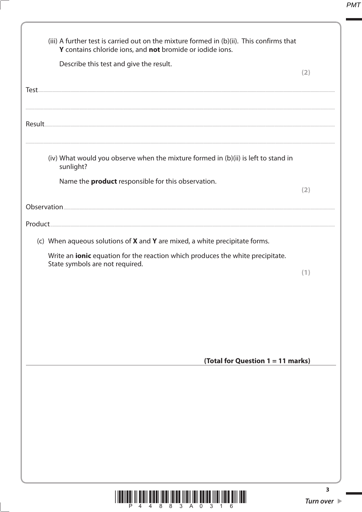| (iii) A further test is carried out on the mixture formed in (b)(ii). This confirms that<br>Y contains chloride ions, and not bromide or iodide ions. |                         |
|-------------------------------------------------------------------------------------------------------------------------------------------------------|-------------------------|
| Describe this test and give the result.                                                                                                               | (2)                     |
| Test                                                                                                                                                  |                         |
|                                                                                                                                                       |                         |
|                                                                                                                                                       |                         |
| (iv) What would you observe when the mixture formed in (b)(ii) is left to stand in<br>sunlight?                                                       |                         |
| Name the <b>product</b> responsible for this observation.                                                                                             | (2)                     |
|                                                                                                                                                       |                         |
|                                                                                                                                                       |                         |
| (c) When aqueous solutions of $X$ and $Y$ are mixed, a white precipitate forms.                                                                       |                         |
| Write an <b>ionic</b> equation for the reaction which produces the white precipitate.<br>State symbols are not required.                              |                         |
|                                                                                                                                                       | (1)                     |
|                                                                                                                                                       |                         |
|                                                                                                                                                       |                         |
|                                                                                                                                                       |                         |
|                                                                                                                                                       |                         |
| (Total for Question 1 = 11 marks)                                                                                                                     |                         |
|                                                                                                                                                       |                         |
|                                                                                                                                                       |                         |
|                                                                                                                                                       |                         |
|                                                                                                                                                       |                         |
|                                                                                                                                                       |                         |
|                                                                                                                                                       | $\overline{\mathbf{3}}$ |

 $\begin{array}{c} \text{if} \ \text{if} \ \text{if} \ \text{if} \ \text{if} \ \text{if} \ \text{if} \ \text{if} \ \text{if} \ \text{if} \ \text{if} \ \text{if} \ \text{if} \ \text{if} \ \text{if} \ \text{if} \ \text{if} \ \text{if} \ \text{if} \ \text{if} \ \text{if} \ \text{if} \ \text{if} \ \text{if} \ \text{if} \ \text{if} \ \text{if} \ \text{if} \ \text{if} \ \text{if} \ \text{if} \ \text{if} \ \text{if} \ \text{if} \ \text{if} \ \text{$ 

1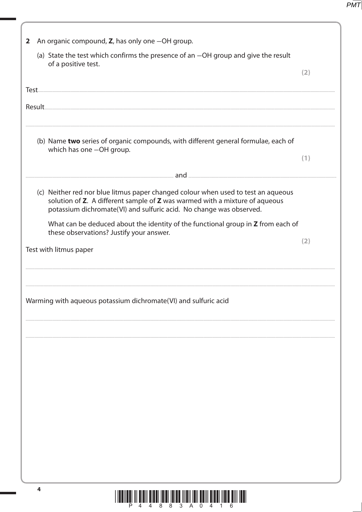| An organic compound, Z, has only one -OH group.<br>$\overline{2}$                                                                                                                                                                       |     |
|-----------------------------------------------------------------------------------------------------------------------------------------------------------------------------------------------------------------------------------------|-----|
| (a) State the test which confirms the presence of an -OH group and give the result                                                                                                                                                      |     |
| of a positive test.                                                                                                                                                                                                                     | (2) |
| Test                                                                                                                                                                                                                                    |     |
|                                                                                                                                                                                                                                         |     |
|                                                                                                                                                                                                                                         |     |
| (b) Name two series of organic compounds, with different general formulae, each of<br>which has one -OH group.                                                                                                                          |     |
|                                                                                                                                                                                                                                         | (1) |
|                                                                                                                                                                                                                                         |     |
| (c) Neither red nor blue litmus paper changed colour when used to test an aqueous<br>solution of Z. A different sample of Z was warmed with a mixture of aqueous<br>potassium dichromate(VI) and sulfuric acid. No change was observed. |     |
| What can be deduced about the identity of the functional group in Z from each of<br>these observations? Justify your answer.                                                                                                            |     |
| Test with litmus paper                                                                                                                                                                                                                  | (2) |
|                                                                                                                                                                                                                                         |     |
|                                                                                                                                                                                                                                         |     |
| Warming with aqueous potassium dichromate(VI) and sulfuric acid                                                                                                                                                                         |     |
|                                                                                                                                                                                                                                         |     |
|                                                                                                                                                                                                                                         |     |
|                                                                                                                                                                                                                                         |     |
|                                                                                                                                                                                                                                         |     |
|                                                                                                                                                                                                                                         |     |
|                                                                                                                                                                                                                                         |     |
|                                                                                                                                                                                                                                         |     |
|                                                                                                                                                                                                                                         |     |
|                                                                                                                                                                                                                                         |     |
|                                                                                                                                                                                                                                         |     |
|                                                                                                                                                                                                                                         |     |
| 4                                                                                                                                                                                                                                       |     |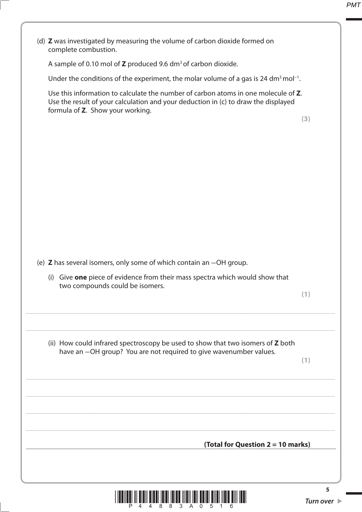| (Total for Question 2 = 10 marks)                                                                                                                                                                            |     |
|--------------------------------------------------------------------------------------------------------------------------------------------------------------------------------------------------------------|-----|
| (ii) How could infrared spectroscopy be used to show that two isomers of Z both<br>have an -OH group? You are not required to give wavenumber values.                                                        | (1) |
| two compounds could be isomers.                                                                                                                                                                              | (1) |
| (e) $Z$ has several isomers, only some of which contain an $-OH$ group.<br>(i) Give one piece of evidence from their mass spectra which would show that                                                      |     |
|                                                                                                                                                                                                              |     |
| Use this information to calculate the number of carbon atoms in one molecule of Z.<br>Use the result of your calculation and your deduction in (c) to draw the displayed<br>formula of Z. Show your working. | (3) |
| Under the conditions of the experiment, the molar volume of a gas is 24 dm <sup>3</sup> mol <sup>-1</sup> .                                                                                                  |     |
| A sample of 0.10 mol of <b>Z</b> produced 9.6 dm <sup>3</sup> of carbon dioxide.                                                                                                                             |     |



 $5\overline{5}$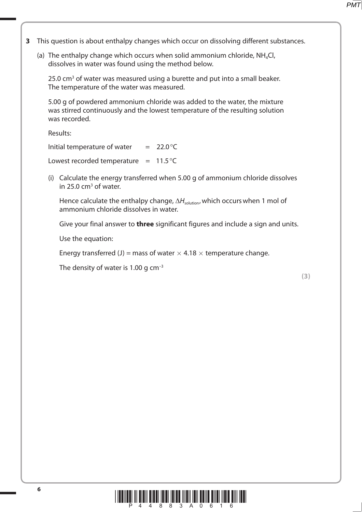- **3** This question is about enthalpy changes which occur on dissolving different substances.
	- (a) The enthalpy change which occurs when solid ammonium chloride,  $NH<sub>4</sub>Cl$ , dissolves in water was found using the method below.

25.0  $\text{cm}^3$  of water was measured using a burette and put into a small beaker. The temperature of the water was measured.

 5.00 g of powdered ammonium chloride was added to the water, the mixture was stirred continuously and the lowest temperature of the resulting solution was recorded.

Results:

Initial temperature of water  $= 22.0^{\circ}\text{C}$ 

Lowest recorded temperature =  $11.5^{\circ}C$ 

 (i) Calculate the energy transferred when 5.00 g of ammonium chloride dissolves in 25.0  $cm<sup>3</sup>$  of water.

Hence calculate the enthalpy change,  $\Delta H_{\text{solution}}$ , which occurs when 1 mol of ammonium chloride dissolves in water.

Give your final answer to **three** significant figures and include a sign and units.

Use the equation:

Energy transferred (J) = mass of water  $\times$  4.18  $\times$  temperature change.

The density of water is 1.00 g  $cm^{-3}$ 

**(3)**

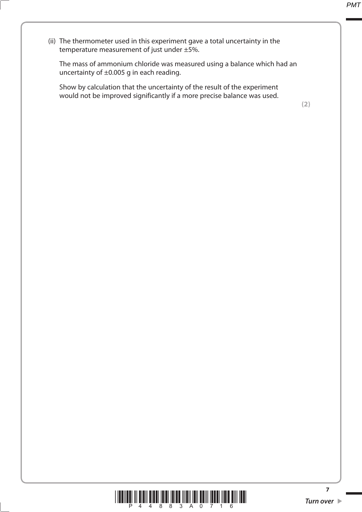(ii) The thermometer used in this experiment gave a total uncertainty in the temperature measurement of just under ±5%.

 The mass of ammonium chloride was measured using a balance which had an uncertainty of ±0.005 g in each reading.

 Show by calculation that the uncertainty of the result of the experiment would not be improved significantly if a more precise balance was used.

**(2)**

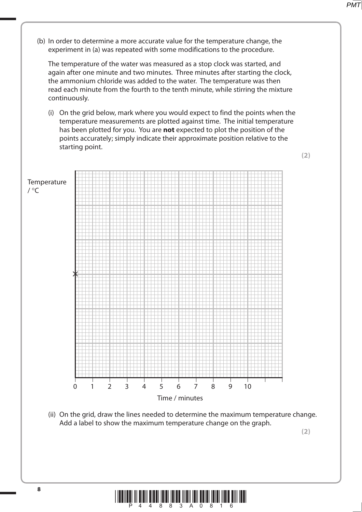(b) In order to determine a more accurate value for the temperature change, the experiment in (a) was repeated with some modifications to the procedure.

 The temperature of the water was measured as a stop clock was started, and again after one minute and two minutes. Three minutes after starting the clock, the ammonium chloride was added to the water. The temperature was then read each minute from the fourth to the tenth minute, while stirring the mixture continuously.

 (i) On the grid below, mark where you would expect to find the points when the temperature measurements are plotted against time. The initial temperature has been plotted for you. You are **not** expected to plot the position of the points accurately; simply indicate their approximate position relative to the starting point.



 (ii) On the grid, draw the lines needed to determine the maximum temperature change. Add a label to show the maximum temperature change on the graph.

**(2)**

**(2)**

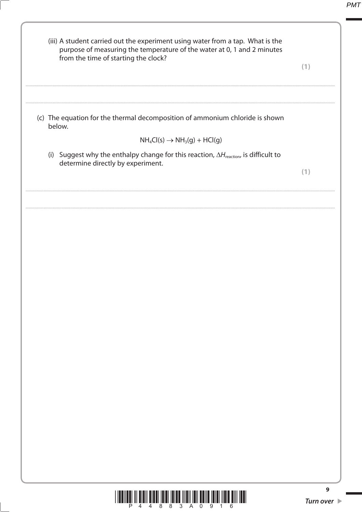

 $4 - 4 - 8 - 8 - 3$  A 0 9 1 6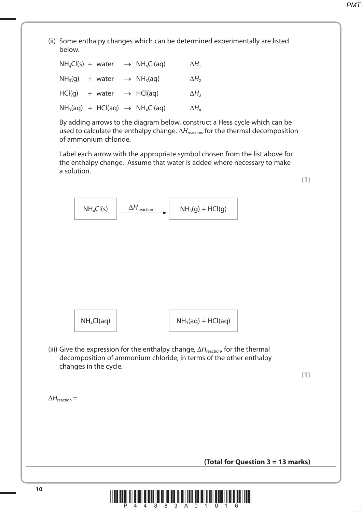*PMT*

 (ii) Some enthalpy changes which can be determined experimentally are listed below.

|                                                     |  | $NH_4Cl(s) + water \rightarrow NH_4Cl(aq)$ | $\Delta H_1$ |
|-----------------------------------------------------|--|--------------------------------------------|--------------|
| $NH3(q)$ + water $\rightarrow$ NH <sub>3</sub> (aq) |  |                                            | $\Delta H_2$ |
| $HCl(q)$ + water $\rightarrow$ HCl(aq)              |  |                                            | $\Delta H_3$ |
|                                                     |  | $NH3(aq) + HCl(aq) \rightarrow NH4Cl(aq)$  | $\Delta H_4$ |

 By adding arrows to the diagram below, construct a Hess cycle which can be used to calculate the enthalpy change,  $\Delta H_{\text{reaction}}$  for the thermal decomposition of ammonium chloride.

 Label each arrow with the appropriate symbol chosen from the list above for the enthalpy change. Assume that water is added where necessary to make a solution.

**(1)**

**(1)**



**(Total for Question 3 = 13 marks)**

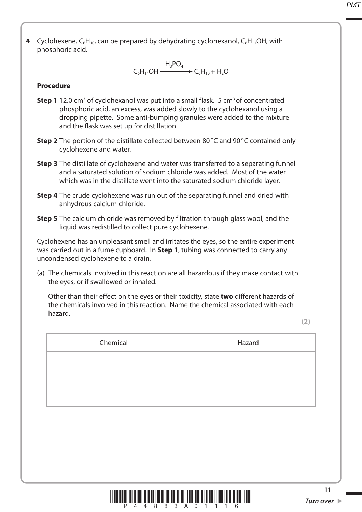**4** Cyclohexene,  $C_6H_{10}$ , can be prepared by dehydrating cyclohexanol,  $C_6H_{11}OH$ , with phosphoric acid.

 $H_3PO_4$  $C_6H_{11}OH \longrightarrow C_6H_{10} + H_2O$ 

### **Procedure**

- **Step 1** 12.0 cm<sup>3</sup> of cyclohexanol was put into a small flask. 5 cm<sup>3</sup> of concentrated phosphoric acid, an excess, was added slowly to the cyclohexanol using a dropping pipette. Some anti-bumping granules were added to the mixture and the flask was set up for distillation.
	- **Step 2** The portion of the distillate collected between 80 °C and 90 °C contained only cyclohexene and water.
	- **Step 3** The distillate of cyclohexene and water was transferred to a separating funnel and a saturated solution of sodium chloride was added. Most of the water which was in the distillate went into the saturated sodium chloride layer.
	- **Step 4** The crude cyclohexene was run out of the separating funnel and dried with anhydrous calcium chloride.
	- **Step 5** The calcium chloride was removed by filtration through glass wool, and the liquid was redistilled to collect pure cyclohexene.

 Cyclohexene has an unpleasant smell and irritates the eyes, so the entire experiment was carried out in a fume cupboard. In **Step 1**, tubing was connected to carry any uncondensed cyclohexene to a drain.

 (a) The chemicals involved in this reaction are all hazardous if they make contact with the eyes, or if swallowed or inhaled.

 Other than their effect on the eyes or their toxicity, state **two** different hazards of the chemicals involved in this reaction. Name the chemical associated with each hazard.

**(2)**

| Chemical | Hazard |
|----------|--------|
|          |        |
|          |        |
|          |        |

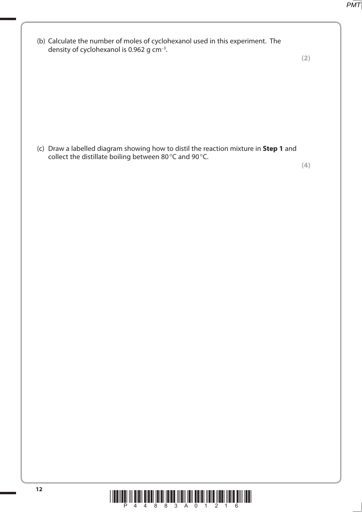(b) Calculate the number of moles of cyclohexanol used in this experiment. The density of cyclohexanol is 0.962 g  $cm^{-3}$ .

 (c) Draw a labelled diagram showing how to distil the reaction mixture in **Step 1** and collect the distillate boiling between 80 $^{\circ}$ C and 90 $^{\circ}$ C.

**(4)**

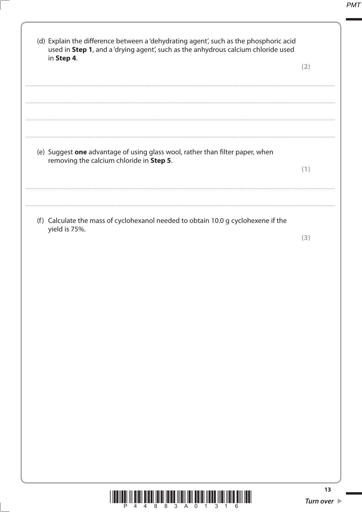| (d) Explain the difference between a 'dehydrating agent', such as the phosphoric acid<br>used in Step 1, and a 'drying agent', such as the anhydrous calcium chloride used<br>in Step 4. |                                 |
|------------------------------------------------------------------------------------------------------------------------------------------------------------------------------------------|---------------------------------|
|                                                                                                                                                                                          | (2)                             |
|                                                                                                                                                                                          |                                 |
|                                                                                                                                                                                          |                                 |
|                                                                                                                                                                                          |                                 |
| (e) Suggest one advantage of using glass wool, rather than filter paper, when                                                                                                            |                                 |
| removing the calcium chloride in Step 5.                                                                                                                                                 | (1)                             |
|                                                                                                                                                                                          |                                 |
|                                                                                                                                                                                          |                                 |
| (f) Calculate the mass of cyclohexanol needed to obtain 10.0 g cyclohexene if the<br>yield is 75%.                                                                                       |                                 |
|                                                                                                                                                                                          | (3)                             |
|                                                                                                                                                                                          |                                 |
|                                                                                                                                                                                          |                                 |
|                                                                                                                                                                                          |                                 |
|                                                                                                                                                                                          |                                 |
|                                                                                                                                                                                          |                                 |
|                                                                                                                                                                                          |                                 |
|                                                                                                                                                                                          |                                 |
|                                                                                                                                                                                          |                                 |
|                                                                                                                                                                                          |                                 |
|                                                                                                                                                                                          |                                 |
|                                                                                                                                                                                          |                                 |
|                                                                                                                                                                                          |                                 |
|                                                                                                                                                                                          |                                 |
|                                                                                                                                                                                          | 13                              |
| 8<br>8<br>3<br>Α<br>0<br>3                                                                                                                                                               | Turn over $\blacktriangleright$ |

1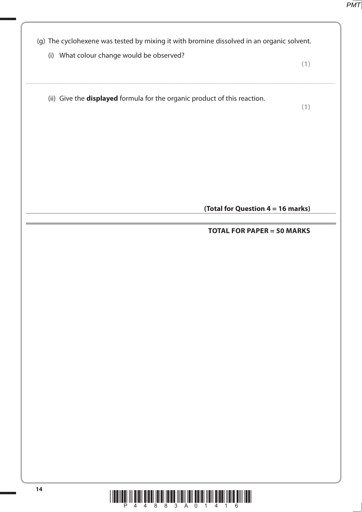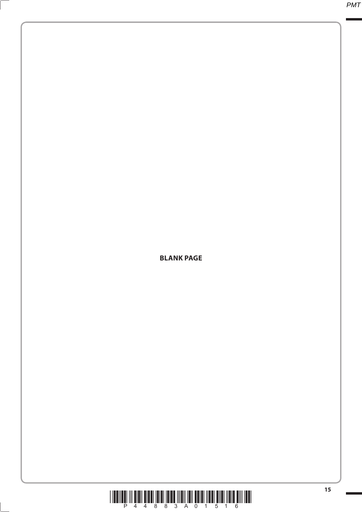

**BLANK PAGE**